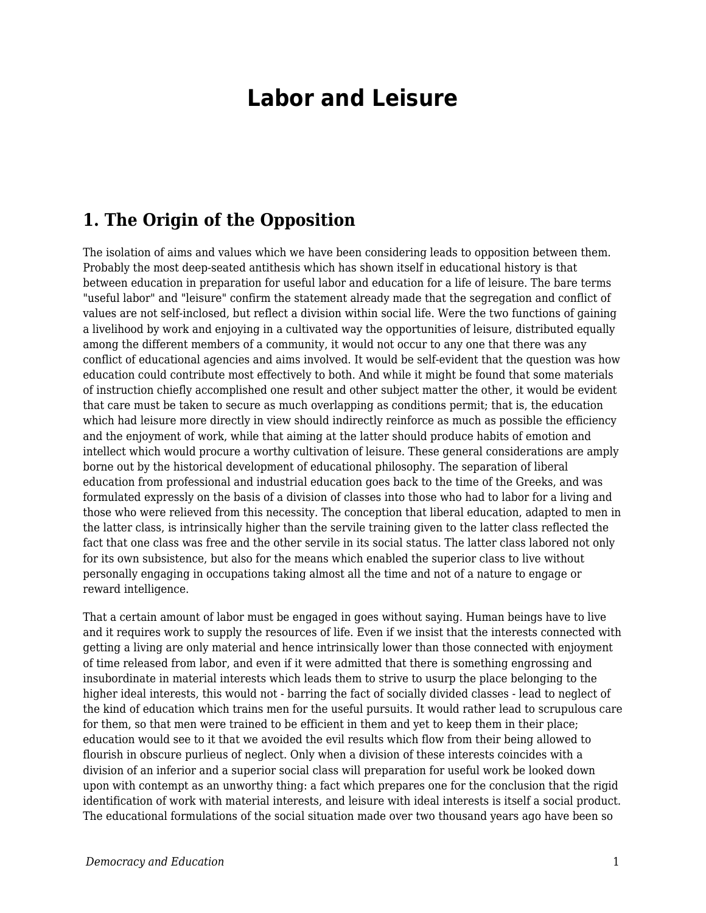## **Labor and Leisure**

## **1. The Origin of the Opposition**

The isolation of aims and values which we have been considering leads to opposition between them. Probably the most deep-seated antithesis which has shown itself in educational history is that between education in preparation for useful labor and education for a life of leisure. The bare terms "useful labor" and "leisure" confirm the statement already made that the segregation and conflict of values are not self-inclosed, but reflect a division within social life. Were the two functions of gaining a livelihood by work and enjoying in a cultivated way the opportunities of leisure, distributed equally among the different members of a community, it would not occur to any one that there was any conflict of educational agencies and aims involved. It would be self-evident that the question was how education could contribute most effectively to both. And while it might be found that some materials of instruction chiefly accomplished one result and other subject matter the other, it would be evident that care must be taken to secure as much overlapping as conditions permit; that is, the education which had leisure more directly in view should indirectly reinforce as much as possible the efficiency and the enjoyment of work, while that aiming at the latter should produce habits of emotion and intellect which would procure a worthy cultivation of leisure. These general considerations are amply borne out by the historical development of educational philosophy. The separation of liberal education from professional and industrial education goes back to the time of the Greeks, and was formulated expressly on the basis of a division of classes into those who had to labor for a living and those who were relieved from this necessity. The conception that liberal education, adapted to men in the latter class, is intrinsically higher than the servile training given to the latter class reflected the fact that one class was free and the other servile in its social status. The latter class labored not only for its own subsistence, but also for the means which enabled the superior class to live without personally engaging in occupations taking almost all the time and not of a nature to engage or reward intelligence.

That a certain amount of labor must be engaged in goes without saying. Human beings have to live and it requires work to supply the resources of life. Even if we insist that the interests connected with getting a living are only material and hence intrinsically lower than those connected with enjoyment of time released from labor, and even if it were admitted that there is something engrossing and insubordinate in material interests which leads them to strive to usurp the place belonging to the higher ideal interests, this would not - barring the fact of socially divided classes - lead to neglect of the kind of education which trains men for the useful pursuits. It would rather lead to scrupulous care for them, so that men were trained to be efficient in them and yet to keep them in their place; education would see to it that we avoided the evil results which flow from their being allowed to flourish in obscure purlieus of neglect. Only when a division of these interests coincides with a division of an inferior and a superior social class will preparation for useful work be looked down upon with contempt as an unworthy thing: a fact which prepares one for the conclusion that the rigid identification of work with material interests, and leisure with ideal interests is itself a social product. The educational formulations of the social situation made over two thousand years ago have been so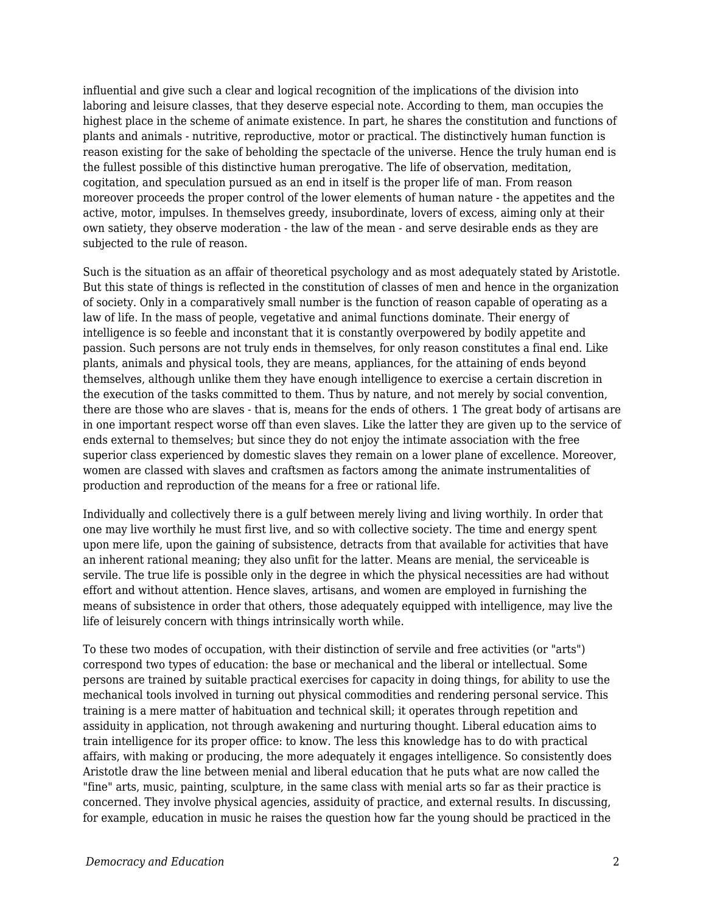influential and give such a clear and logical recognition of the implications of the division into laboring and leisure classes, that they deserve especial note. According to them, man occupies the highest place in the scheme of animate existence. In part, he shares the constitution and functions of plants and animals - nutritive, reproductive, motor or practical. The distinctively human function is reason existing for the sake of beholding the spectacle of the universe. Hence the truly human end is the fullest possible of this distinctive human prerogative. The life of observation, meditation, cogitation, and speculation pursued as an end in itself is the proper life of man. From reason moreover proceeds the proper control of the lower elements of human nature - the appetites and the active, motor, impulses. In themselves greedy, insubordinate, lovers of excess, aiming only at their own satiety, they observe moderation - the law of the mean - and serve desirable ends as they are subjected to the rule of reason.

Such is the situation as an affair of theoretical psychology and as most adequately stated by Aristotle. But this state of things is reflected in the constitution of classes of men and hence in the organization of society. Only in a comparatively small number is the function of reason capable of operating as a law of life. In the mass of people, vegetative and animal functions dominate. Their energy of intelligence is so feeble and inconstant that it is constantly overpowered by bodily appetite and passion. Such persons are not truly ends in themselves, for only reason constitutes a final end. Like plants, animals and physical tools, they are means, appliances, for the attaining of ends beyond themselves, although unlike them they have enough intelligence to exercise a certain discretion in the execution of the tasks committed to them. Thus by nature, and not merely by social convention, there are those who are slaves - that is, means for the ends of others. 1 The great body of artisans are in one important respect worse off than even slaves. Like the latter they are given up to the service of ends external to themselves; but since they do not enjoy the intimate association with the free superior class experienced by domestic slaves they remain on a lower plane of excellence. Moreover, women are classed with slaves and craftsmen as factors among the animate instrumentalities of production and reproduction of the means for a free or rational life.

Individually and collectively there is a gulf between merely living and living worthily. In order that one may live worthily he must first live, and so with collective society. The time and energy spent upon mere life, upon the gaining of subsistence, detracts from that available for activities that have an inherent rational meaning; they also unfit for the latter. Means are menial, the serviceable is servile. The true life is possible only in the degree in which the physical necessities are had without effort and without attention. Hence slaves, artisans, and women are employed in furnishing the means of subsistence in order that others, those adequately equipped with intelligence, may live the life of leisurely concern with things intrinsically worth while.

To these two modes of occupation, with their distinction of servile and free activities (or "arts") correspond two types of education: the base or mechanical and the liberal or intellectual. Some persons are trained by suitable practical exercises for capacity in doing things, for ability to use the mechanical tools involved in turning out physical commodities and rendering personal service. This training is a mere matter of habituation and technical skill; it operates through repetition and assiduity in application, not through awakening and nurturing thought. Liberal education aims to train intelligence for its proper office: to know. The less this knowledge has to do with practical affairs, with making or producing, the more adequately it engages intelligence. So consistently does Aristotle draw the line between menial and liberal education that he puts what are now called the "fine" arts, music, painting, sculpture, in the same class with menial arts so far as their practice is concerned. They involve physical agencies, assiduity of practice, and external results. In discussing, for example, education in music he raises the question how far the young should be practiced in the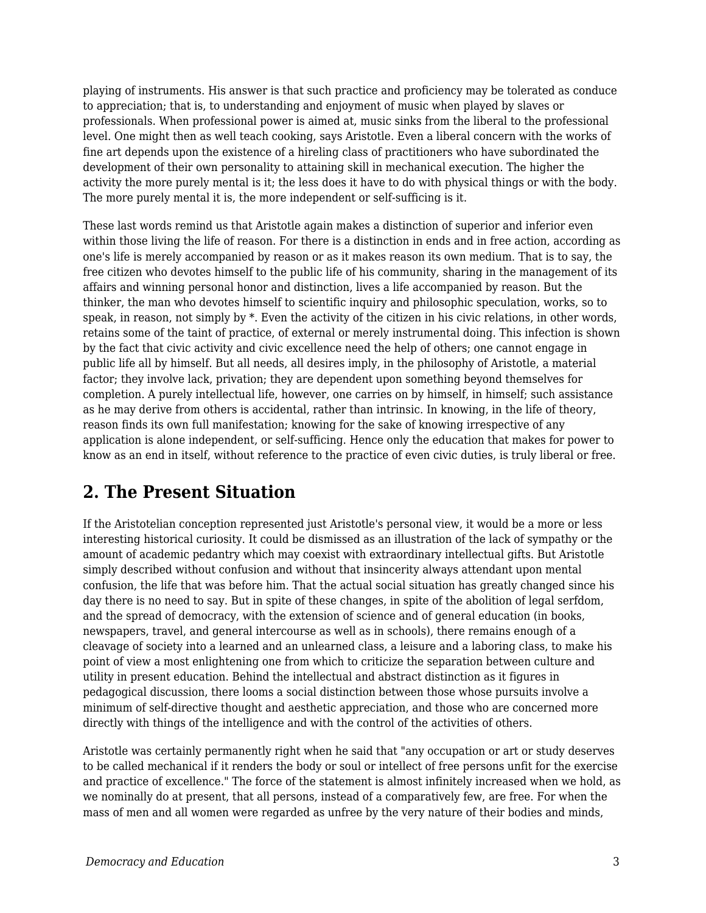playing of instruments. His answer is that such practice and proficiency may be tolerated as conduce to appreciation; that is, to understanding and enjoyment of music when played by slaves or professionals. When professional power is aimed at, music sinks from the liberal to the professional level. One might then as well teach cooking, says Aristotle. Even a liberal concern with the works of fine art depends upon the existence of a hireling class of practitioners who have subordinated the development of their own personality to attaining skill in mechanical execution. The higher the activity the more purely mental is it; the less does it have to do with physical things or with the body. The more purely mental it is, the more independent or self-sufficing is it.

These last words remind us that Aristotle again makes a distinction of superior and inferior even within those living the life of reason. For there is a distinction in ends and in free action, according as one's life is merely accompanied by reason or as it makes reason its own medium. That is to say, the free citizen who devotes himself to the public life of his community, sharing in the management of its affairs and winning personal honor and distinction, lives a life accompanied by reason. But the thinker, the man who devotes himself to scientific inquiry and philosophic speculation, works, so to speak, in reason, not simply by \*. Even the activity of the citizen in his civic relations, in other words, retains some of the taint of practice, of external or merely instrumental doing. This infection is shown by the fact that civic activity and civic excellence need the help of others; one cannot engage in public life all by himself. But all needs, all desires imply, in the philosophy of Aristotle, a material factor; they involve lack, privation; they are dependent upon something beyond themselves for completion. A purely intellectual life, however, one carries on by himself, in himself; such assistance as he may derive from others is accidental, rather than intrinsic. In knowing, in the life of theory, reason finds its own full manifestation; knowing for the sake of knowing irrespective of any application is alone independent, or self-sufficing. Hence only the education that makes for power to know as an end in itself, without reference to the practice of even civic duties, is truly liberal or free.

## **2. The Present Situation**

If the Aristotelian conception represented just Aristotle's personal view, it would be a more or less interesting historical curiosity. It could be dismissed as an illustration of the lack of sympathy or the amount of academic pedantry which may coexist with extraordinary intellectual gifts. But Aristotle simply described without confusion and without that insincerity always attendant upon mental confusion, the life that was before him. That the actual social situation has greatly changed since his day there is no need to say. But in spite of these changes, in spite of the abolition of legal serfdom, and the spread of democracy, with the extension of science and of general education (in books, newspapers, travel, and general intercourse as well as in schools), there remains enough of a cleavage of society into a learned and an unlearned class, a leisure and a laboring class, to make his point of view a most enlightening one from which to criticize the separation between culture and utility in present education. Behind the intellectual and abstract distinction as it figures in pedagogical discussion, there looms a social distinction between those whose pursuits involve a minimum of self-directive thought and aesthetic appreciation, and those who are concerned more directly with things of the intelligence and with the control of the activities of others.

Aristotle was certainly permanently right when he said that "any occupation or art or study deserves to be called mechanical if it renders the body or soul or intellect of free persons unfit for the exercise and practice of excellence." The force of the statement is almost infinitely increased when we hold, as we nominally do at present, that all persons, instead of a comparatively few, are free. For when the mass of men and all women were regarded as unfree by the very nature of their bodies and minds,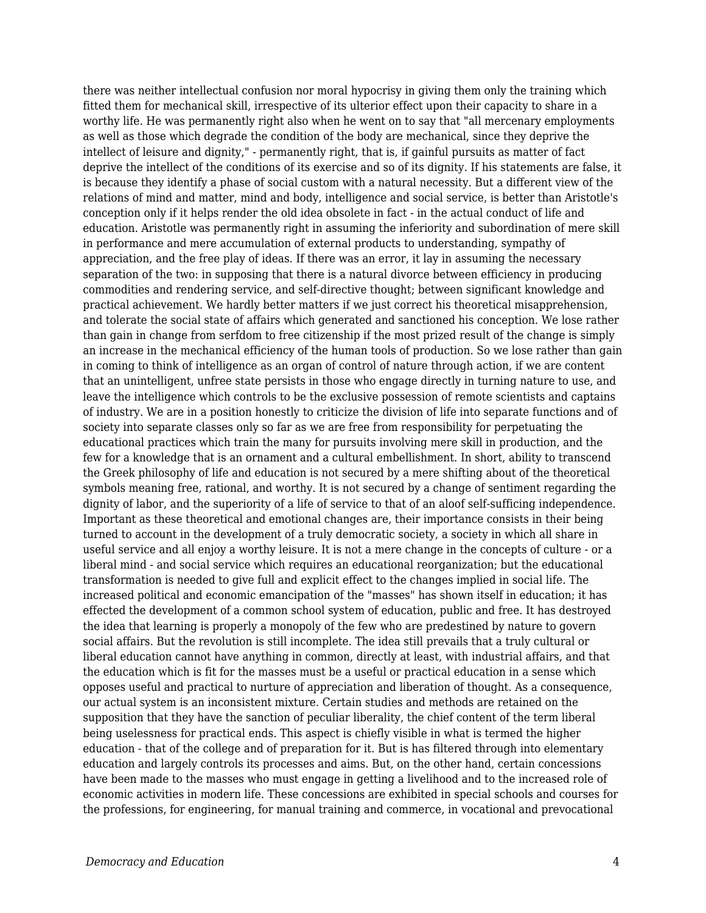there was neither intellectual confusion nor moral hypocrisy in giving them only the training which fitted them for mechanical skill, irrespective of its ulterior effect upon their capacity to share in a worthy life. He was permanently right also when he went on to say that "all mercenary employments as well as those which degrade the condition of the body are mechanical, since they deprive the intellect of leisure and dignity," - permanently right, that is, if gainful pursuits as matter of fact deprive the intellect of the conditions of its exercise and so of its dignity. If his statements are false, it is because they identify a phase of social custom with a natural necessity. But a different view of the relations of mind and matter, mind and body, intelligence and social service, is better than Aristotle's conception only if it helps render the old idea obsolete in fact - in the actual conduct of life and education. Aristotle was permanently right in assuming the inferiority and subordination of mere skill in performance and mere accumulation of external products to understanding, sympathy of appreciation, and the free play of ideas. If there was an error, it lay in assuming the necessary separation of the two: in supposing that there is a natural divorce between efficiency in producing commodities and rendering service, and self-directive thought; between significant knowledge and practical achievement. We hardly better matters if we just correct his theoretical misapprehension, and tolerate the social state of affairs which generated and sanctioned his conception. We lose rather than gain in change from serfdom to free citizenship if the most prized result of the change is simply an increase in the mechanical efficiency of the human tools of production. So we lose rather than gain in coming to think of intelligence as an organ of control of nature through action, if we are content that an unintelligent, unfree state persists in those who engage directly in turning nature to use, and leave the intelligence which controls to be the exclusive possession of remote scientists and captains of industry. We are in a position honestly to criticize the division of life into separate functions and of society into separate classes only so far as we are free from responsibility for perpetuating the educational practices which train the many for pursuits involving mere skill in production, and the few for a knowledge that is an ornament and a cultural embellishment. In short, ability to transcend the Greek philosophy of life and education is not secured by a mere shifting about of the theoretical symbols meaning free, rational, and worthy. It is not secured by a change of sentiment regarding the dignity of labor, and the superiority of a life of service to that of an aloof self-sufficing independence. Important as these theoretical and emotional changes are, their importance consists in their being turned to account in the development of a truly democratic society, a society in which all share in useful service and all enjoy a worthy leisure. It is not a mere change in the concepts of culture - or a liberal mind - and social service which requires an educational reorganization; but the educational transformation is needed to give full and explicit effect to the changes implied in social life. The increased political and economic emancipation of the "masses" has shown itself in education; it has effected the development of a common school system of education, public and free. It has destroyed the idea that learning is properly a monopoly of the few who are predestined by nature to govern social affairs. But the revolution is still incomplete. The idea still prevails that a truly cultural or liberal education cannot have anything in common, directly at least, with industrial affairs, and that the education which is fit for the masses must be a useful or practical education in a sense which opposes useful and practical to nurture of appreciation and liberation of thought. As a consequence, our actual system is an inconsistent mixture. Certain studies and methods are retained on the supposition that they have the sanction of peculiar liberality, the chief content of the term liberal being uselessness for practical ends. This aspect is chiefly visible in what is termed the higher education - that of the college and of preparation for it. But is has filtered through into elementary education and largely controls its processes and aims. But, on the other hand, certain concessions have been made to the masses who must engage in getting a livelihood and to the increased role of economic activities in modern life. These concessions are exhibited in special schools and courses for the professions, for engineering, for manual training and commerce, in vocational and prevocational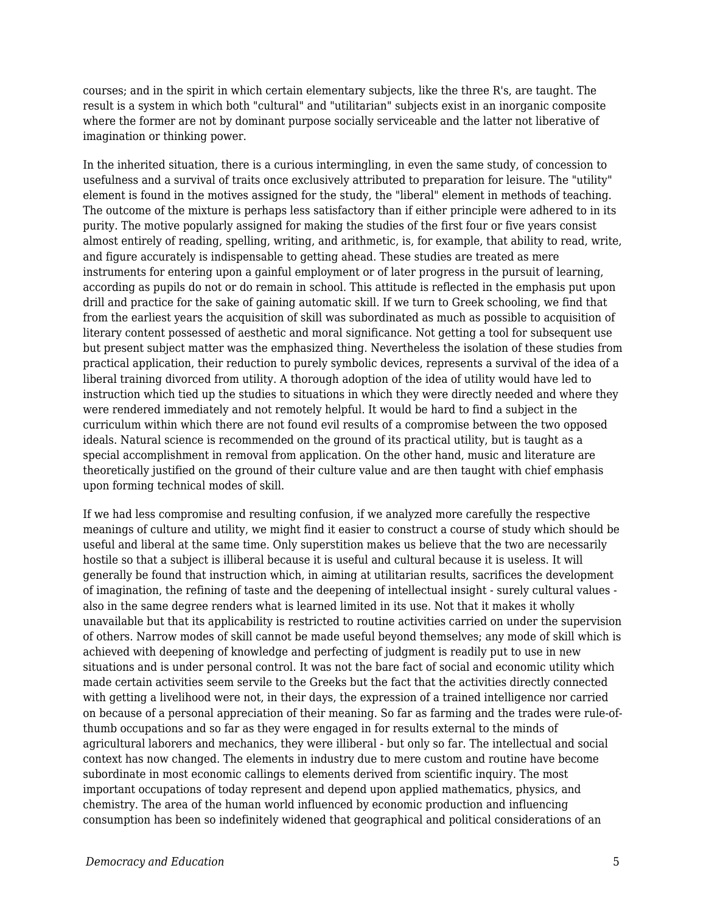courses; and in the spirit in which certain elementary subjects, like the three R's, are taught. The result is a system in which both "cultural" and "utilitarian" subjects exist in an inorganic composite where the former are not by dominant purpose socially serviceable and the latter not liberative of imagination or thinking power.

In the inherited situation, there is a curious intermingling, in even the same study, of concession to usefulness and a survival of traits once exclusively attributed to preparation for leisure. The "utility" element is found in the motives assigned for the study, the "liberal" element in methods of teaching. The outcome of the mixture is perhaps less satisfactory than if either principle were adhered to in its purity. The motive popularly assigned for making the studies of the first four or five years consist almost entirely of reading, spelling, writing, and arithmetic, is, for example, that ability to read, write, and figure accurately is indispensable to getting ahead. These studies are treated as mere instruments for entering upon a gainful employment or of later progress in the pursuit of learning, according as pupils do not or do remain in school. This attitude is reflected in the emphasis put upon drill and practice for the sake of gaining automatic skill. If we turn to Greek schooling, we find that from the earliest years the acquisition of skill was subordinated as much as possible to acquisition of literary content possessed of aesthetic and moral significance. Not getting a tool for subsequent use but present subject matter was the emphasized thing. Nevertheless the isolation of these studies from practical application, their reduction to purely symbolic devices, represents a survival of the idea of a liberal training divorced from utility. A thorough adoption of the idea of utility would have led to instruction which tied up the studies to situations in which they were directly needed and where they were rendered immediately and not remotely helpful. It would be hard to find a subject in the curriculum within which there are not found evil results of a compromise between the two opposed ideals. Natural science is recommended on the ground of its practical utility, but is taught as a special accomplishment in removal from application. On the other hand, music and literature are theoretically justified on the ground of their culture value and are then taught with chief emphasis upon forming technical modes of skill.

If we had less compromise and resulting confusion, if we analyzed more carefully the respective meanings of culture and utility, we might find it easier to construct a course of study which should be useful and liberal at the same time. Only superstition makes us believe that the two are necessarily hostile so that a subject is illiberal because it is useful and cultural because it is useless. It will generally be found that instruction which, in aiming at utilitarian results, sacrifices the development of imagination, the refining of taste and the deepening of intellectual insight - surely cultural values also in the same degree renders what is learned limited in its use. Not that it makes it wholly unavailable but that its applicability is restricted to routine activities carried on under the supervision of others. Narrow modes of skill cannot be made useful beyond themselves; any mode of skill which is achieved with deepening of knowledge and perfecting of judgment is readily put to use in new situations and is under personal control. It was not the bare fact of social and economic utility which made certain activities seem servile to the Greeks but the fact that the activities directly connected with getting a livelihood were not, in their days, the expression of a trained intelligence nor carried on because of a personal appreciation of their meaning. So far as farming and the trades were rule-ofthumb occupations and so far as they were engaged in for results external to the minds of agricultural laborers and mechanics, they were illiberal - but only so far. The intellectual and social context has now changed. The elements in industry due to mere custom and routine have become subordinate in most economic callings to elements derived from scientific inquiry. The most important occupations of today represent and depend upon applied mathematics, physics, and chemistry. The area of the human world influenced by economic production and influencing consumption has been so indefinitely widened that geographical and political considerations of an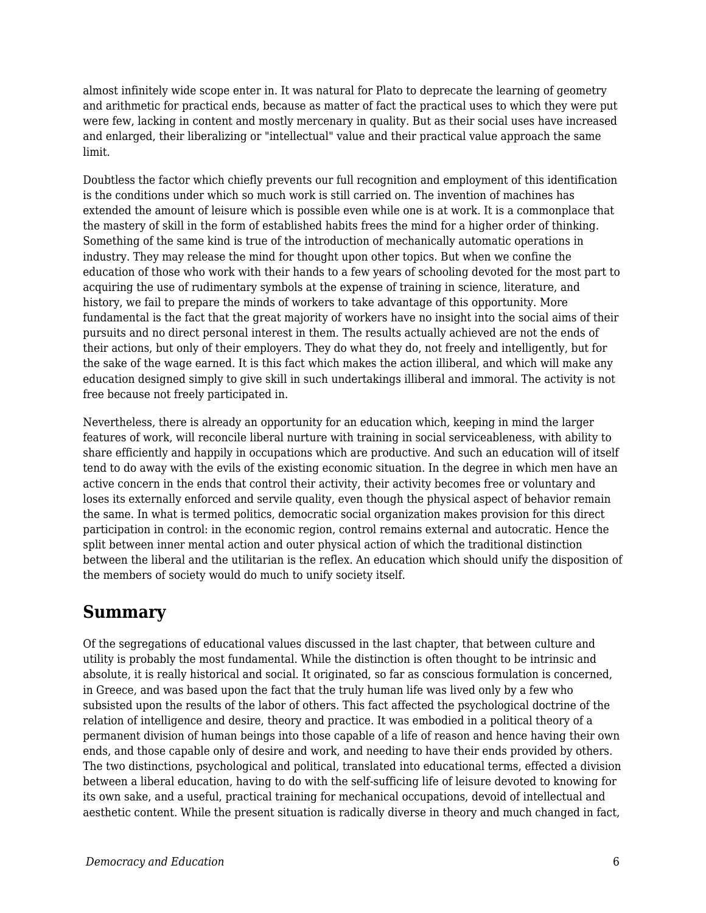almost infinitely wide scope enter in. It was natural for Plato to deprecate the learning of geometry and arithmetic for practical ends, because as matter of fact the practical uses to which they were put were few, lacking in content and mostly mercenary in quality. But as their social uses have increased and enlarged, their liberalizing or "intellectual" value and their practical value approach the same limit.

Doubtless the factor which chiefly prevents our full recognition and employment of this identification is the conditions under which so much work is still carried on. The invention of machines has extended the amount of leisure which is possible even while one is at work. It is a commonplace that the mastery of skill in the form of established habits frees the mind for a higher order of thinking. Something of the same kind is true of the introduction of mechanically automatic operations in industry. They may release the mind for thought upon other topics. But when we confine the education of those who work with their hands to a few years of schooling devoted for the most part to acquiring the use of rudimentary symbols at the expense of training in science, literature, and history, we fail to prepare the minds of workers to take advantage of this opportunity. More fundamental is the fact that the great majority of workers have no insight into the social aims of their pursuits and no direct personal interest in them. The results actually achieved are not the ends of their actions, but only of their employers. They do what they do, not freely and intelligently, but for the sake of the wage earned. It is this fact which makes the action illiberal, and which will make any education designed simply to give skill in such undertakings illiberal and immoral. The activity is not free because not freely participated in.

Nevertheless, there is already an opportunity for an education which, keeping in mind the larger features of work, will reconcile liberal nurture with training in social serviceableness, with ability to share efficiently and happily in occupations which are productive. And such an education will of itself tend to do away with the evils of the existing economic situation. In the degree in which men have an active concern in the ends that control their activity, their activity becomes free or voluntary and loses its externally enforced and servile quality, even though the physical aspect of behavior remain the same. In what is termed politics, democratic social organization makes provision for this direct participation in control: in the economic region, control remains external and autocratic. Hence the split between inner mental action and outer physical action of which the traditional distinction between the liberal and the utilitarian is the reflex. An education which should unify the disposition of the members of society would do much to unify society itself.

## **Summary**

Of the segregations of educational values discussed in the last chapter, that between culture and utility is probably the most fundamental. While the distinction is often thought to be intrinsic and absolute, it is really historical and social. It originated, so far as conscious formulation is concerned, in Greece, and was based upon the fact that the truly human life was lived only by a few who subsisted upon the results of the labor of others. This fact affected the psychological doctrine of the relation of intelligence and desire, theory and practice. It was embodied in a political theory of a permanent division of human beings into those capable of a life of reason and hence having their own ends, and those capable only of desire and work, and needing to have their ends provided by others. The two distinctions, psychological and political, translated into educational terms, effected a division between a liberal education, having to do with the self-sufficing life of leisure devoted to knowing for its own sake, and a useful, practical training for mechanical occupations, devoid of intellectual and aesthetic content. While the present situation is radically diverse in theory and much changed in fact,